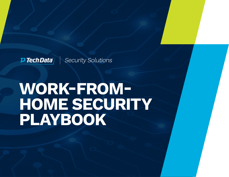

# **WORK-FROM-HOME SECURITY PLAYBOOK**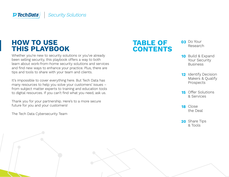### **HOW TO USE THIS PLAYBOOK**

Whether you're new to security solutions or you've already been selling security, this playbook offers a way to both learn about work-from-home security solutions and services and find new ways to enhance your practice. Plus, there are tips and tools to share with your team and clients.

It's impossible to cover everything here. But Tech Data has many resources to help you solve your customers' issues – from subject matter experts to training and education tools to digital resources. If you can't find what you need, ask us.

Thank you for your partnership. Here's to a more secure future for you and your customers!

The Tech Data Cybersecurity Team



- **03** Do Your [Research](#page-2-0)
- 10 Build & Expand Your Security Business
- 12 Identify Decision Makers & Qualify Prospects
- **15** [Offer Solutions](#page-14-0) & Services
- 18 Close [the Deal](#page-17-0)
- 20 [Share Tips](#page-19-0) & Tools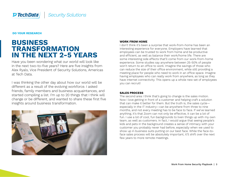<span id="page-2-0"></span>**DO YOUR RESEARCH**

### **BUSINESS TRANSFORMATION IN THE NEXT 2-5 YEARS**

Have you been wondering what our world will look like in the next two-to-five years? Here are five insights from Alex Ryals, Vice President of Security Solutions, Americas at Tech Data.

I was thinking the other day about how our world will be different as a result of the evolving workforce. I asked friends, family members and business acquaintances, and started compiling a list. I'm up to 20 things that I think will change or be different, and wanted to share these first five insights around business transformation.



#### **WORK FROM HOME**

I don't think it's been a surprise that work-from-home has been an interesting experience for everyone. Employers have learned that employees can be trusted to work from home and be productive and efficient, as well as balance their work/home life. There are some interesting side effects that'll come from our work-from-home experience. Some studies say anywhere between 25-50% of people won't return to an office to work. Imagine the savings of those who can reduce the size of their office environment, while still providing a meeting place for people who need to work in an office space. Imagine having employees who can really work from anywhere, as long as they have internet connectivity. This opens up a whole new set of employees you can recruit!

#### **SALES PROCESS**

The second area I think that's going to change is the sales motion. Now I love getting in front of a customer and helping craft a solution that can make it better for them. But the truth is, the sales cycle especially in the IT industry—can be anywhere from three to nine months, and not every meeting has to be face to face. If we've learned anything, it's that Zoom can not only be effective, it can be a lot of fun. I use a lot of cool, fun backgrounds to liven things up with my own team, as well as customers. In fact, I would argue that seeing people's kids and pets in the background creates a sense of intimacy with your customer you probably never had before, especially when we used to show up in business suits putting on our best face. While the face-toface sales process will be absolutely important, it'll shift over the next few years to more remote meetings.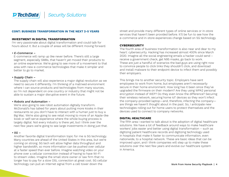

#### **INVESTMENT IN DIGITAL TRANSFORMATION**

I'm very passionate about digital transformation and could talk for hours about it. But a couple of areas will be different moving forward.

#### • E-Commerce –

 E-commerce will ramp up like never before. There's still a large segment, especially SMBs, that haven't yet moved their products to an online experience. We're going to see more of a movement to that area with new e-commerce technologies that make it simpler and better to go to market.

#### • Supply Chain –

 The supply chain will also experience a major digital revolution as we need to secure it differently. I'm thinking of a matrixed environment where I can source products and technologies from many sources, so I'm not dependent on one country or industry that might not be able to sustain a major disruptive event in the future.

#### • Robots and Automation –

 We're also going to see robot automation digitally transform. McDonald's has talked for years about putting more kiosks in their restaurants so you don't have to interact with a human just to buy a Big Mac. We're also going to see retail moving to more of an Apple-like kiosk or self-serve experience where the whole buying process is largely digital. Not every industry is there yet, but I think over the next few years we're going to see large investments in doing just that.

#### • 5G –

 Another favorite digital transformation topic for me is 5G technology. Many countries are ahead of the United States in this area, but we're coming on strong. 5G tech will allow higher data throughput and higher bandwidth, so more information can be pushed over cellular at a faster speed than ever before. Imagine watching video on your phone over a cellular connection instead of having to have Wi-Fi to stream video. Imagine the small store owner or law firm that no longer has to pay for a slow DSL connection at great cost. 5G cellular technology can pull an internet signal from a cell tower down the

**CONT: BUSINESS TRANSFORMATION IN THE NEXT 2-5 YEARS** street and provide many different types of online services or in-store services that haven't been provided before. It'll be fun to see how the e-commerce and in-store experiences change based on 5G technology.

#### **CYBERSECURITY**

The fourth area of business transformation is also near and dear to my heart: cybersecurity. Hacking has increased almost 400% since March 2020. Imagine all the social engineering emails a hacker could send – receive a government check, get N95 masks, go back to work. These are just a handful of scenarios the bad guys are using right now to convince people to click links they shouldn't click, and download and install malware to their endpoint device to infect them and possibly their employers.

This brings me to another security topic. Employers have sent employees to work from home, but employees aren't necessarily secure in their home environment. How long has it been since they've upgraded the firmware on their modem? Are they using WPA2 personal encryption instead of WEP? Do they even know the difference? Securing their wireless network, securing home IoT devices so they won't infect the company-provided laptop—and, therefore, infecting the company are things we haven't thought about in the past. So, I anticipate new technologies rolling out for home users to protect themselves and the devices used to connect to company networks.

#### **DIGITAL HEALTHCARE**

The fifth area I wanted to talk about is the adoption of digital healthcare solutions. We have a lot of feedback around ways to make healthcare workers' jobs easier and better using digital transformation – such as digitizing patient healthcare records and digitizing technology used in hospitals that make it faster to communicate information, even nationwide, to a hospital network. These are basic ideas that can be improved upon, and I think companies will step up to make these solutions over the next few years and evolve our healthcare system in America.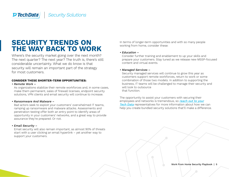### **SECURITY TRENDS ON THE WAY BACK TO WORK**

Where's the security market going over the next month? The next quarter? The next year? The truth is, there's still considerable uncertainty. What we do know is that security will remain an important part of the strategy for most customers.

#### **CONSIDER THESE SHORTER-TERM OPPORTUNITIES:**

#### • Remote Work –

As organizations stabilize their remote workforces and, in some cases, make them permanent, sales of firewall licenses, endpoint security solutions, VPN clients and email security will continue to increase.

#### • Ransomware And Malware –

Bad actors seek to exploit your customers' overwhelmed IT teams, ramping up ransomware and malware attacks. Assessments and penetration testing offer both an entry point to identify areas of opportunity in your customers' networks, and a great way to provide assurance they're prepared. Or not.

#### • Email Security –

Email security will also remain important, as almost 90% of threats start with a user clicking an email hyperlink – yet another way to support your customers.

In terms of longer-term opportunities and with so many people working from home, consider these:

#### • Education –

Consider further training and enablement to up your skills and prepare your customers. Stay tuned as we release new MSSP-focused content and virtual events.

#### • Managed Services –

Security managed services will continue to grow this year as customers support remote workforces, return to work or some combination of those two models. In addition to supporting the business, IT teams will be challenged to manage their security and will look to outsource that function.

The opportunity to assist your customers with securing their employees and networks is tremendous, so [reach out to your](mailto:securityservices%40techdata.com?subject=) [Tech Data](mailto:securityservices%40techdata.com?subject=) representatives for more information about how we can help you create bundled security solutions that'll make a difference.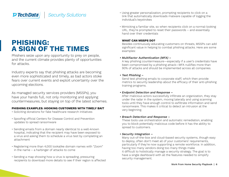### **PHISHING: A SIGN OF THE TIMES**

Phishers seize upon any opportunity to prey on people, and the current climate provides plenty of opportunities for attacks.

Industry experts say that phishing attacks are becoming even more sophisticated and timely, as bad actors stoke fears over current events and exploit uncertainty over the upcoming elections.

As managed security services providers (MSSPs), you have your hands full, not only monitoring and applying countermeasures, but staying on top of the latest schemes.

#### **PHISHING EXAMPLES: HOOKING CUSTOMERS WITH TIMELY BAIT**

- Soliciting donations for fake healthcare research initiatives
- Spoofing official Centers for Disease Control and Prevention updates to spread ransomware
- Sending emails from a domain nearly identical to a well-known hospital, indicating that the recipient may have been exposed to a virus and asking them to schedule a virus test by completing an attachment
- Registering more than 4,000 lookalike domain names with "Zoom" in the name – a harbinger of attacks to come
- Sending a map showing how a virus is spreading, pressuring recipients to download more details to see if their region is affected
- Using greater personalization, prompting recipients to click on a link that automatically downloads malware capable of logging the individual's keystrokes
- Mimicking a familiar site, so when recipients click on a normal-looking URL, they're prompted to reset their passwords – and essentially hand over their credentials

### **WHAT CAN MSSPS DO?**

Besides continuously educating customers on threats, MSSPs can add significant value in helping to combat phishing attacks. Here are some examples:

### • Multifactor Authentication (MFA) –

A key phishing countermeasure—especially if a user's credentials have been compromised by a phishing attack—MFA nullifies more than 90% of attacks and should be implemented across all companies.

#### • Test Phishing –

Send test phishing emails to corporate staff, which then provide metrics to security leadership about the efficacy of their anti-phishing training programs.

#### • Endpoint Detection and Response –

After malicious actors successfully infiltrate an organization, they stay under the radar in the system, moving laterally and using scanning tools until they have enough control to exfiltrate information and send ransomware. This makes it critical to detect an intrusion at the very beginning.

### • Breach Detection and Response –

These tools use orchestration and automatic remediation, enabling you to block potentially malicious code before it has the ability to spread to customers.

#### • Security Integration –

Many out-of-the-box and cloud-based security systems, though easy to deploy, often don't meet all of your customers' requirements, particularly if they're now supporting a remote workforce. In addition, having too many vendors doing too many things make it difficult to holistically manage a security strategy. The goal is to have a single dashboard with all the features needed to simplify security management.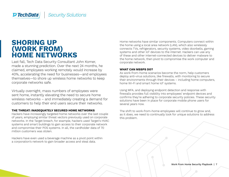### **SHORING UP (WORK FROM) HOME NETWORKS**

Last fall, Tech Data Security Consultant John Komer, made a stunning prediction. Over the next 24 months, he claimed, employees working remotely would increase by 40%, accelerating the need for businesses—and employees themselves—to shore up wireless home networks to keep corporate networks safe.

Virtually overnight, mass numbers of employees were sent home, instantly elevating the need to secure home wireless networks – and immediately creating a demand for customers to help their end users secure their networks.

#### **THE THREAT: INADEQUATELY SECURED HOME NETWORKS**

Hackers have increasingly targeted home networks over the last couple of years, employing similar threat vectors previously used on corporate networks. In the Target breach, for example, hackers used Target's HVAC systems and smart buildings to gain access to their corporate network and compromise their POS systems. In all, the cardholder data of 70 million customers was stolen.

Hackers have even used a beverage machine as a pivot point within a corporation's network to gain broader access and steal data.

Home networks have similar components. Computers connect within the home using a local area network (LAN), which also wirelessly connects TVs, refrigerators, security systems, video doorbells, gaming systems and other IoT devices to the internet. Hackers can use any of these and other internet-connected devices to deliver malware to the home network, then pivot to compromise the work computer and corporate network.

#### **WHAT CAN MSSPS DO?**

As work-from-home scenarios become the norm, help customers deploy anti-virus solutions, like firewalls, with monitoring to secure their environments through their devices – including home computers, home Wi-Fi and smart home IoT systems.

Using MFA, and deploying endpoint detection and response with firewalls provides full visibility into employees' endpoint devices and confirms they're adhering to corporate security policies. These security solutions have been in place for corporate mobile phone users for several years now.

The shift to work-from-home employees will continue to grow and, as it does, we need to continually look for unique solutions to address this problem.

Work From Home Security Playbook | 7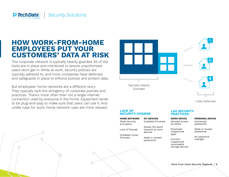#### **Security Solutions D Tech Data**

### **HOW WORK-FROM-HOME EMPLOYEES PUT YOUR CUSTOMERS' DATA AT RISK**

The corporate network is typically heavily guarded. All of the tools are in place and monitored to ensure unauthorized users don't get in. While at work, security policies are typically adhered to, and most companies have defenses and safeguards in place to enforce policies and protect data.

But employees' home networks are a different story. They typically lack the stringency of corporate policies and practices. There's more often than not a single internet connection used by everyone in the home. Equipment tends to be plug-and-play to make sure that users can use it. And unlike rules for work, home network rules are more relaxed.



Little Defenses

#### **LACK OF SECURITY HYGIENE**

Outdated firmware

Shares the same network as work devices

Weak or reused passwords

**HOME NETWORK IOT DEVICES WORK DEVICE** Weak security encryption Lack of firewall

Outdated router firmware

#### **LAX SECURITY PRACTICES**

by others Download unapproved apps

Allowed access

Autosaved **PERSONAL DEVICE** 

passwords

Weak or reused passwords

No password manager

Connect unapproved removeable storage devices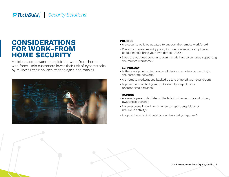### **CONSIDERATIONS FOR WORK-FROM HOME SECURITY**

Malicious actors want to exploit the work-from-home workforce. Help customers lower their risk of cyberattacks by reviewing their policies, technologies and training.



#### **POLICIES**

- Are security policies updated to support the remote workforce?
- Does the current security policy include how remote employees should handle bring your own device (BYOD)?
- Does the business continuity plan include how to continue supporting the remote workforce?

#### **TECHNOLOGY**

- Is there endpoint protection on all devices remotely connecting to the corporate network?
- Are remote workstations backed up and enabled with encryption?
- Is proactive monitoring set up to identify suspicious or unauthorized activities?

### **TRAINING**

- Are employees up to date on the latest cybersecurity and privacy awareness training?
- Do employees know how or when to report suspicious or malicious activity?
- Are phishing attack simulations actively being deployed?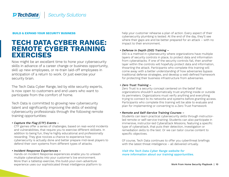#### <span id="page-9-0"></span>**BUILD & EXPAND YOUR SECURITY BUSINESS**

### **TECH DATA CYBER RANGE: REMOTE CYBER TRAINING EXERCISES**

Now might be an excellent time to hone your cybersecurity skills in advance of a career change or business opportunity, skill up new employees, or re-train laid-off employees in anticipation of a return to work. Or just exercise your security brain.

The Tech Data Cyber Range, led by elite security experts, is now open to customers and end users who want to participate from the comfort of home.

Tech Data is committed to growing new cybersecurity talent and significantly improving the skills of existing cybersecurity professionals through the following remote training opportunities:

#### • Capture the Flag (CTF) Events –

CTF games offer a series of challenges, based on real-world incidents and vulnerabilities, that require you to exercise different skillsets. In addition to being fun, they're highly educational and professionally rewarding. They give novices a chance to experience how cybersecurity is actually done and better prepare mid-level players to defend their own systems from different types of attacks.

#### • Incident Response Experiences –

Hands-on Incident Response experiences enable you to unleash multiple cyberattacks into your customer's live environment. More than a tabletop exercise, this build-your-own-adventure experience uses our sophisticated threat intelligence platform to

help your customer rehearse a plan of action. Every aspect of their cybersecurity plumbing is tested. At the end of the day, they'll see where their gaps are and be better prepared for an attack – with no impact to their environment.

#### • Defense in Depth (DiD) Training –

DiD is a method in cybersecurity where organizations have multiple layers of security controls in place, to protect data and information from cyberattacks. If one of the security controls fail, then another layer within the controls will hopefully protect data and information, thwarting the attack. Participants who complete this training will come away with a better understanding of how adversaries bypass traditional defense strategies, and develop a well-defined framework for protecting their business infrastructure from adversaries.

#### • Zero Trust Training –

Zero Trust is a security concept centered on the belief that organizations shouldn't automatically trust anything inside or outside its perimeters. Organizations must verify anything and everything trying to connect to its networks and systems before granting access. Participants who complete this training will be able to evaluate and plan for implementing or converting to a Zero Trust framework

#### • Remote and Self-Service Training Courses –

Students can learn practical cybersecurity skills through instructorled remote or self-service training. Students can also participate in immersive, instructor-led Cyberattack Missions, featuring a specific type of cyberattack, that puts their detection, investigation or remediation skills to the test. Or we can tailor course content to specific objectives.

Of course, Tech Data continues to offer you cyberthreat briefings with the latest threat intelligence – all delivered virtually.

[Visit the Tech Data Cyber Range website for](https://cyberrange.techdata.com) [more information about our training opportunities.](https://cyberrange.techdata.com)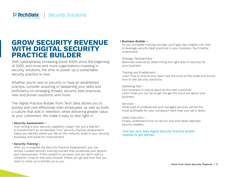### **GROW SECURITY REVENUE WITH DIGITAL SECURITY PRACTICE BUILDER**

With cyberattacks increasing some 400% since the beginning of 2020, and more and more organizations investing in security solutions, the time to power up a sustainable security practice is now.

Whether you're new to security or have an established practice, consider acquiring or deepening your skills and proficiency on emerging threats, security best practices, new and proven solutions, and more.

The Digital Practice Builder from Tech Data allows you to quickly and cost-effectively train employees, as well as build a culture that aids in retention, while delivering greater value to your customers. We make it easy to dive right in.

#### • Security Assessment –

How strong is your security capability today? Are you a Starter? A Transformer? An Accelerator? Our Security Practice Assessment helps you identify where you fall on the maturity scale in your security business, and areas for improvement.

#### • Security Training –

After you complete the Security Practice Assessment, you can access curated security training courses that accelerate your growth and improvement. If the content is too basic and you don't want a refresher, move on the next module. Where you go and how fast you want to ramp up is entirely up to you.

#### • Business Builder –

As you complete training courses, you'll gain key insights into how to leverage security best practices in your business. You'll better understand:

#### Strategy Development –

Maximize revenue by determining the right area of security for your business.

#### Training and Enablement –

Learn how to ensure your team has the tools of the trade and knows how to sell security solutions.

#### Marketing Plan –

Your business is only as good as the next customer. Learn what you can do to get the get the word out about your business.

#### Services –

What type of professional and managed services will be the most profitable for your company? We'll help you nail it down.

#### Sales Execution –

Finally, understand how to recruit, hire and retain talented security leaders.

#### [Visit the Tech Data Digital Security Practice Builder](https://practicebuilder.techdata.com/security) [website to get started.](https://practicebuilder.techdata.com/security)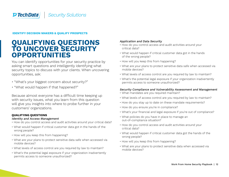#### <span id="page-11-0"></span>**IDENTIFY DECISION MAKERS & QUALIFY PROSPECTS**

### **QUALIFYING QUESTIONS TO UNCOVER SECURITY OPPORTUNITIES**

You can identify opportunities for your security practice by asking smart questions and intelligently identifying what security topics to discuss with your clients. When uncovering opportunities, ask:

- "What's your biggest concern about security?"
- "What would happen if that happened?"

Because almost everyone has a difficult time keeping up with security issues, what you learn from this question will give you insights into where to probe further in your customers' organizations.

#### **QUALIFYING QUESTIONS**

#### Identity and Access Management

- How do you control access and audit activities around your critical data?
- What would happen if critical customer data got in the hands of the wrong people?
- How will you keep this from happening?
- What are your plans to protect sensitive data safe when accessed via mobile devices?
- What levels of access control are you required by law to maintain?
- What's the potential legal exposure if your organization inadvertently permits access to someone unauthorized?

#### Application and Data Security

- How do you control access and audit activities around your critical data?
- What would happen if critical customer data got in the hands of the wrong people?
- How will you keep this from happening?
- What are your plans to protect sensitive data safe when accessed via mobile devices?
- What levels of access control are you required by law to maintain?
- What's the potential legal exposure if your organization inadvertently permits access to someone unauthorized?

#### Security Compliance and Vulnerability Assessment and Management

- What mandates are you required maintain?
- What levels of access control are you required by law to maintain?
- How do you stay up to date on these mandate requirements?
- How do you ensure you're in compliance?
- What's your financial and legal exposure if you're out of compliance?
- What policies do you have in place to manage an out-of-compliance situation?
- How do you control access and audit activities around your critical data?
- What would happen if critical customer data got the hands of the wrong people?
- How will you keep this from happening?
- What are your plans to protect sensitive data when accessed via mobile devices?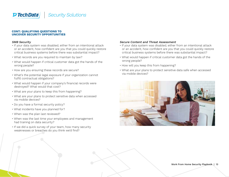#### **CONT: QUALIFYING QUESTIONS TO UNCOVER SECURITY OPPORTUNITIES**

#### SMB Security

- If your data system was disabled, either from an intentional attack or an accident, how confident are you that you could quickly restore critical business systems before there was substantial impact?
- What records are you required to maintain by law?
- What would happen if critical customer data got the hands of the wrong people?
- How are you ensuring these records are secure?
- What's the potential legal exposure if your organization cannot fulfill contractual obligations?
- What would happen if your company's financial records were destroyed? What would that cost?
- What are your plans to keep this from happening?
- What are your plans to protect sensitive data when accessed via mobile devices?
- Do you have a formal security policy?
- What incidents have you planned for?
- When was the plan last reviewed?
- When was the last time your employees and management had training on data security?
- If we did a quick survey of your team, how many security weaknesses or breaches do you think we'd find?

#### Secure Content and Threat Assessment

- If your data system was disabled, either from an intentional attack or an accident, how confident are you that you could quickly restore critical business systems before there was substantial impact?
- What would happen if critical customer data got the hands of the wrong people?
- How will you keep this from happening?
- What are your plans to protect sensitive data safe when accessed via mobile devices?

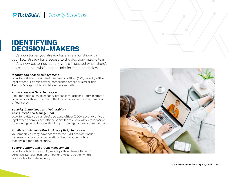### **IDENTIFYING DECISION-MAKERS**

If it's a customer you already have a relationship with, you likely already have access to the decision-making team. If it's a new customer, identify who's impacted when there's a breach or ask who's responsible for the areas below.

#### Identity and Access Management –

Look for a title such as chief information officer (CIO), security officer, legal officer, IT administrator, compliance officer or similar title. Ask who's responsible for data access security.

#### Application and Data Security –

Look for a title such as security officer, legal officer, IT administrator, compliance officer or similar title. It could also be the chief financial officer (CFO).

#### Security Compliance and Vulnerability Assessment and Management –

Look for a title such as chief operating officer (COO), security officer, legal officer, compliance officer or similar title. Ask who's responsible for ensuring compliance with all applicable regulations and mandates.

#### Small- and Medium-Size Business (SMB) Security –

You probably already have access to the SMB decision-maker because of your customer relationships. If not, ask who's responsible for data security.

#### Secure Content and Threat Management –

Look for a title such as CIO, security officer, legal officer, IT administrator, compliance officer or similar title. Ask who's responsible for data security.

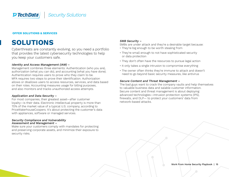#### <span id="page-14-0"></span>**OFFER SOLUTIONS & SERVICES**

### **SOLUTIONS**

Cyberthreats are constantly evolving, so you need a portfolio that provides the latest cybersecurity technologies to help you keep your customers safe.

#### Identity and Access Management (IAM) –

Management combines three elements: Authentication (who you are), authorization (what you can do), and accounting (what you have done). Authentication requires users to prove who they claim to be. MFA requires two steps to prove their identification. Authorization allows or disallows users to access resources, services, and data based on their roles. Accounting measures usage for billing purposes, and also monitors and tracks unauthorized access attempts.

#### Application and Data Security –

For most companies, their greatest asset—after customer loyalty—is their data. Electronic intellectual property is more than 70% of the market value of a typical U.S. company, according to PriceWaterhouseCoopers. It's about protecting the customer's data with appliances, software or managed services.

#### Security Compliance and Vulnerability Assessment and Management –

Make sure your customers comply with mandates for protecting and preserving corporate assets, and minimize their exposure to security risks.

#### SMB Security –

SMBs are under attack and they're a desirable target because:

- They're big enough to be worth stealing from
- They're small enough to not have sophisticated security or data protection
- They don't often have the resources to pursue legal action
- It only takes a single intrusion to compromise everything
- The owner often thinks they're immune to attack and doesn't need to go beyond basic security measures, like antivirus

#### Secure Content and Threat Management –

The bad guys want to crack the company vaults and help themselves to valuable business data and salable customer information. Secure content and threat management is about deploying advanced technologies—intrusion protection systems (IPS), firewalls, and DLP— to protect your customers' data from network-based attacks.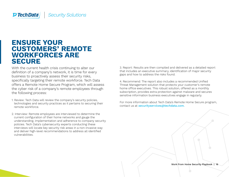#### **Security Solutions PTechData**

### **ENSURE YOUR CUSTOMERS' REMOTE WORKFORCES ARE SECURE**

With the current health crisis continuing to alter our definition of a company's network, it is time for every business to proactively assess their security risks, specifically targeting their remote workforce. Tech Data offers a Remote Home Secure Program, which will assess the cyber risk of a company's remote employees through the following process:

- 1. Review: Tech Data will review the company's security policies, technologies and security practices as it pertains to securing their remote workforce.
- 2. Interview: Remote employees are interviewed to determine the current configuration of their home networks and gauge the understanding, implementation and adherence to company security policies. Tech Data's cybersecurity experts conducting these interviews will locate key security risk areas in a non-invasive way and deliver high-level recommendations to address all identified vulnerabilities.

3. Report: Results are then compiled and delivered as a detailed report that includes an executive summary, identification of major security gaps and how to address the risks found.

4. Recommend: The report also includes a recommended Unified Threat Management solution that protects your customer's remote home office executives. This robust solution, offered as a monthly subscription, provides extra protection against malware and secures sensitive information business executives engage in regularly.

For more information about Tech Data's Remote Home Secure program, contact us at **[securityservices@techdata.com](mailto:securityservices%40techdata.com?subject=).** 

Work From Home Security Playbook | 16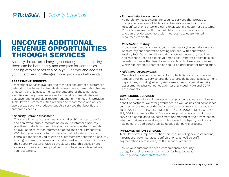### **UNCOVER ADDITIONAL REVENUE OPPORTUNITIES THROUGH SERVICES**

Security threats are changing constantly, and addressing them can be both costly and complex for companies. Leading with services can help you uncover and address your customers' challenges more quickly and efficiently.

#### **ASSESSMENT SERVICES**

Assessment Services evaluate the technical security of a customer's network in the form of vulnerability assessments, penetration testing or security profile assessments. The outcome of these services identifies security weaknesses and exploitable vulnerabilities with objective results and clear recommendations. This not only provides Tech Data's customers with a roadmap to recommend and deliver appropriate security products, but also services that best fit the customer's needs.

#### • Security Profile Assessment:

This complimentary assessment only takes 90 minutes to perform and can reveal ample information on your customer's security practices. It starts with running your customer's system through an evaluation to gather information about their security controls. We'll help you reveal potential flaws in their infrastructure and compile a report for you to give to customers that contains a security scoring, summary of events and customized action plan to improve their security posture. With a 50% closure rate, this assessment alone can create a robust pipeline for you to access while helping your customers.

#### • Vulnerability Assessments:

Vulnerability Assessments are security services that provide a comprehensive view of technical vulnerabilities and common misconfigurations attackers can exploit within a customer's systems. Plus, it's combined with financial data for a full-risk analysis and can provide customers with methods to allocate limited resources efficiently.

#### • Penetration Testing:

If you need a realistic look at your customer's cybersecurity defense posture, try our penetration testing services. With penetration testing, Tech Data can help you demonstrate necessary conditions and methods used to exploit vulnerabilities. Penetration testing also reveals pathways that lead to sensitive data disclosure and proves which exploitable vulnerabilities should be prioritized for remediation.

#### • Additional Assessments:

Outside of our own in-house portfolio, Tech Data also partners with various third-party service providers to provide additional assessment capabilities, including security risk assessments, physical security assessments, physical penetration testing, cloud (POV) and GDPR assessments.

#### **COMPLIANCE SERVICES**

Tech Data can help you in delivering compliance readiness services on behalf of partners. We offer governance, as well as risk and compliance services across many of the industry-wide regulatory companies such as HIPAA, HITRUST, PCI-DSS, NIST 800-171, ISO 270001, NERC-CIP, SOC 1&2, GDPR and many others. Our services provide peace of mind and serve as a compliance advocate from understanding the driving needs: whether that means working with designated third-party auditors or helping certify additional staff as needed during the process.

#### **IMPLEMENTATION SERVICES**

Tech Data offers implementation services, including new installations, integrations, patch services, configurations, as well as staff augmentations across many of the security products.

Ensure your customers have a comprehensive security trategy for their business. Contact us for help today at [securityservices@techdata.com.](mailto:securityservices%40techdata.com?subject=)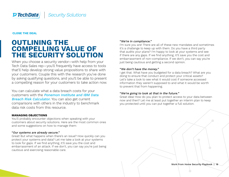<span id="page-17-0"></span>**CLOSE THE DEAL**

### **OUTLINING THE COMPELLING VALUE OF THE SECURITY SOLUTION**

When you choose a security vendor—with help from your Tech Data Sales rep—you'll frequently have access to tools that'll help develop strong value propositions to share with your customers. Couple this with the research you've done by asking qualifying questions, and you'll be able to present a compelling reason for your customers to take action now.

You can calculate what a data breach costs for your customers with the [Ponemon Institute and IBM Data](https://databreachcalculator.mybluemix.net/)  [Breach Risk Calculator.](https://databreachcalculator.mybluemix.net/) You can also get current comparisons with others in the industry to benchmark data risk costs from this resource.

#### **MANAGING OBJECTIONS**

You'll probably encounter objections when speaking with your customers about security solutions. Here are the most common ones and some suggestions on how to manage them:

#### "Our systems are already secure."

Great! But what happens when there's an issue? How quickly can you protect your systems and data? Let me take a look at your systems to look for gaps. If we find anything, it'll save you the cost and embarrassment of an attack. If we don't, you can say you're just being cautious and exercising reasonable care.

#### "We're in compliance."

I'm sure you are! There are all of these new mandates and sometimes it's a challenge to keep up with them. Do you have a third party that audits your plans? I'm happy to look at your systems and see if there are any gaps. If we find anything, it'll save you the cost and embarrassment of non-compliance. If we don't, you can say you're just being cautious and getting a second opinion.

#### "We don't have the money."

I get that. What have you budgeted for a data breach? What are you doing to ensure that conduct and protect your critical assets? Let's take a look to see what it would cost if someone accessed information they weren't supposed to and what it would be worth to prevent that from happening.

#### "We're going to look at that in the future."

Great idea! How do you plan to protect access to your data between now and then? Let me at least put together an interim plan to keep you protected until you can put together a full solution.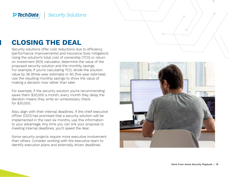### **CLOSING THE DEAL**

Security solutions offer cost reductions due to efficiency (performance improvements) and insurance (loss mitigation). Using the solution's total cost of ownership (TCO) or return on investment (ROI) calculator, determine the value of the proposed security solution and the monthly savings. For example, if you're calculating TCO, divide the solution value by 36 (three-year estimate) or 60 (five-year estimate). Use the resulting monthly savings to show the value of making a decision now rather than later.

For example, if the security solution you're recommending saves them \$30,000 a month, every month they delay the decision means they write an unnecessary check for \$30,000.

Also, align with their internal deadlines. If the chief executive officer (CEO) has promised that a security solution will be implemented in the next six months, use this information to your advantage. Any time you can link your proposal to meeting internal deadlines, you'll speed the deal.

Some security projects require more executive involvement than others. Consider working with the executive team to identify execution plans and externally driven deadlines.

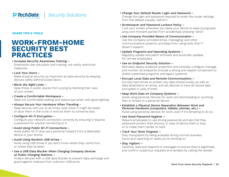#### <span id="page-19-0"></span>**SHARE TIPS & TOOLS**

### **WORK-FROM-HOME SECURITY BEST PRACTICES**

#### • Increase Security Awareness Training –

Emphasize user education and training, not overly restrictive measures.

#### • Lock Your Doors –

Make physical security as important as data security by keeping devices safely behind locked doors.

• Block the Sight Lines –

Keep those in public places from prying by blocking their view of your screen.

- Create a Comfortable Workspace Seek out comfortable seating and reduce eye strain with good lighting.
- Always Secure Your Hardware When Traveling -

Keep devices with you at all times, even when it might be easier to stow them in the trunk or entrust them to someone else.

• Configure Wi-Fi Encryption –

Configure your network connection correctly by ensuring it requires a password for anyone connecting to it.

• Avoid Using Public Wi-Fi Connections –

Avoid public Wi-Fi and use a personal hotspot from a dedicated device or your phone.

• Avoid Using Random USB Drives –

Avoid using USB drives if you don't know where they came from or where they've been.

• Use a USB Data Blocker When Charging Company Devices at Public Charging Stations –

Protect devices with a USB data blocker to prevent data exchange and guard against malware from unknown USB ports.

- Change Your Default Router Login and Password Change the login and password required to enter the router settings from the default (usually "admin").
- Screensaver and Password Lockout Policy –

Lock your screen whenever you leave your device to keep prying eyes away and innocent parties from accidentally pressing "send."

- Use Company Provided Means of Communication Use the company-provided email, messaging, and other communications systems, and keep from using tools that IT doesn't support.
- Update Programs and Operating Systems Regularly update and patch software and automate updates

for remote employees.

• Use an Endpoint Security Solution –

Remotely deploy endpoint protection and centrally configure, manage, and monitor all endpoints (include a strong anti-exploit component to shield unpatched programs and legacy systems).

• Encrypt Local Data and Remote Communications –

Encrypt hard drives to protect any data stored locally, as well as data attached to an email, and set devices to have all stored data encrypted in case of theft.

• Keep Work Data on Company Systems –

Avoid using personal devices for work and downloading or synching files or emails to a personal device.

- Establish a Physical Device Separation Between Work and Personal Hardware (computers, tablets, phones, etc.) – Avoid using personal devices for work, even if it's tempting to do so.
- Use Good Password Hygiene –

Require employees to use strong passwords and ask that they password-protect their phones, in case of device theft or loss, or to make them harder to hack.

#### • Track Your Work Progress –

Stay transparent by being available during normal business hours and reporting on tasks you're working on.

• Stay Vigilant –

Carefully read and respond to messages to ensure they're legitimate, and confirm suspicious requests and senders by calling the sender.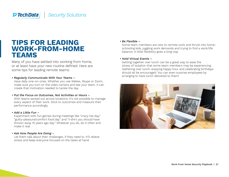### **TIPS FOR LEADING WORK-FROM-HOME TEAMS**

Many of you have settled into working from home, or at least have your new routine defined. Here are some tips for leading remote teams:

#### • Regularly Communicate With Your Teams –

Have daily one-on-ones. Whether you use Webex, Skype or Zoom, make sure you turn on the video camera and see your team. It can create that motivation needed to tackle the day.

#### • Put the Focus on Outcomes, Not Activities or Hours –

With teams spread out across locations, it's not possible to manage every aspect of their work. Stick to outcomes and measure their performance accordingly.

#### • Add a Little Fun –

Experiment with fun games during meetings like "crazy hat day," "guilty-pleasure/comfort food day" and "t-shirt you should have thrown away 10 years ago day." Whatever you do, do it often and make it real.

#### • Ask How People Are Doing –

Let them talk about their challenges, if they need to. It'll relieve stress and keep everyone focused on the tasks at hand.

#### • Be Flexible –

Some team members are new to remote work and thrust into homeschooling kids, juggling work demands and trying to find a work/life balance. A little flexibility goes a long way.

#### • Hold Virtual Events –

Getting together over lunch can be a great way to ease the stress of isolation that some team members may be experiencing. Gathering over lunch, enjoying happy hour and celebrating birthdays should all be encouraged. You can even surprise employees by arranging to have lunch delivered to them!

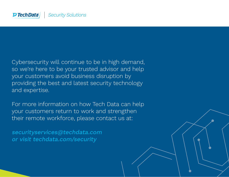Cybersecurity will continue to be in high demand, so we're here to be your trusted advisor and help your customers avoid business disruption by providing the best and latest security technology and expertise.

For more information on how Tech Data can help your customers return to work and strengthen their remote workforce, please contact us at:

securityservices@techdata.com or visit [techdata.com/security](https://www.techdata.com/techsolutions/security/)